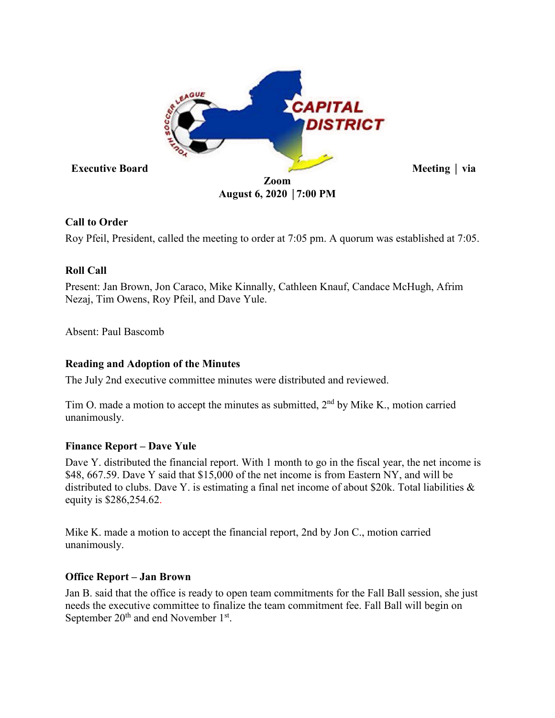

# **Call to Order**

Roy Pfeil, President, called the meeting to order at 7:05 pm. A quorum was established at 7:05.

# **Roll Call**

Present: Jan Brown, Jon Caraco, Mike Kinnally, Cathleen Knauf, Candace McHugh, Afrim Nezaj, Tim Owens, Roy Pfeil, and Dave Yule.

Absent: Paul Bascomb

# **Reading and Adoption of the Minutes**

The July 2nd executive committee minutes were distributed and reviewed.

Tim O. made a motion to accept the minutes as submitted, 2<sup>nd</sup> by Mike K., motion carried unanimously.

## **Finance Report – Dave Yule**

Dave Y. distributed the financial report. With 1 month to go in the fiscal year, the net income is \$48, 667.59. Dave Y said that \$15,000 of the net income is from Eastern NY, and will be distributed to clubs. Dave Y. is estimating a final net income of about \$20k. Total liabilities & equity is \$286,254.62.

Mike K. made a motion to accept the financial report, 2nd by Jon C., motion carried unanimously.

## **Office Report – Jan Brown**

Jan B. said that the office is ready to open team commitments for the Fall Ball session, she just needs the executive committee to finalize the team commitment fee. Fall Ball will begin on September  $20<sup>th</sup>$  and end November 1<sup>st</sup>.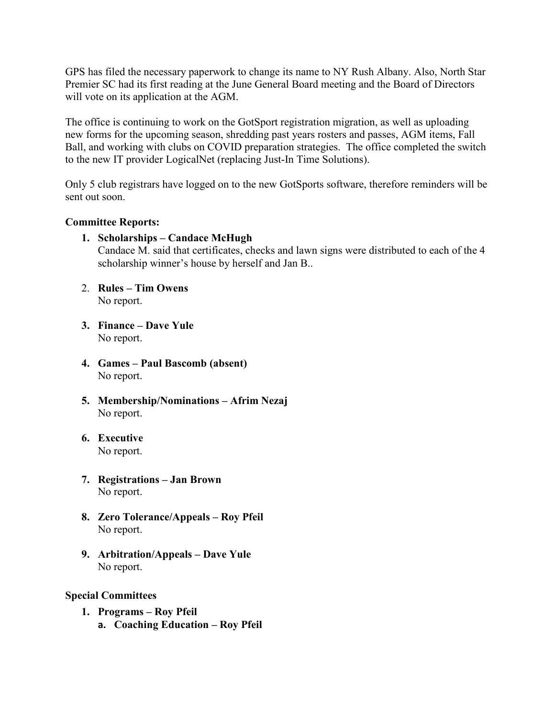GPS has filed the necessary paperwork to change its name to NY Rush Albany. Also, North Star Premier SC had its first reading at the June General Board meeting and the Board of Directors will vote on its application at the AGM.

The office is continuing to work on the GotSport registration migration, as well as uploading new forms for the upcoming season, shredding past years rosters and passes, AGM items, Fall Ball, and working with clubs on COVID preparation strategies. The office completed the switch to the new IT provider LogicalNet (replacing Just-In Time Solutions).

Only 5 club registrars have logged on to the new GotSports software, therefore reminders will be sent out soon.

#### **Committee Reports:**

- **1. Scholarships – Candace McHugh** Candace M. said that certificates, checks and lawn signs were distributed to each of the 4 scholarship winner's house by herself and Jan B..
- 2. **Rules – Tim Owens** No report.
- **3. Finance – Dave Yule** No report.
- **4. Games – Paul Bascomb (absent)** No report.
- **5. Membership/Nominations – Afrim Nezaj** No report.
- **6. Executive**  No report.
- **7. Registrations – Jan Brown** No report.
- **8. Zero Tolerance/Appeals – Roy Pfeil**  No report.
- **9. Arbitration/Appeals – Dave Yule** No report.

#### **Special Committees**

- **1. Programs – Roy Pfeil**
	- **a. Coaching Education – Roy Pfeil**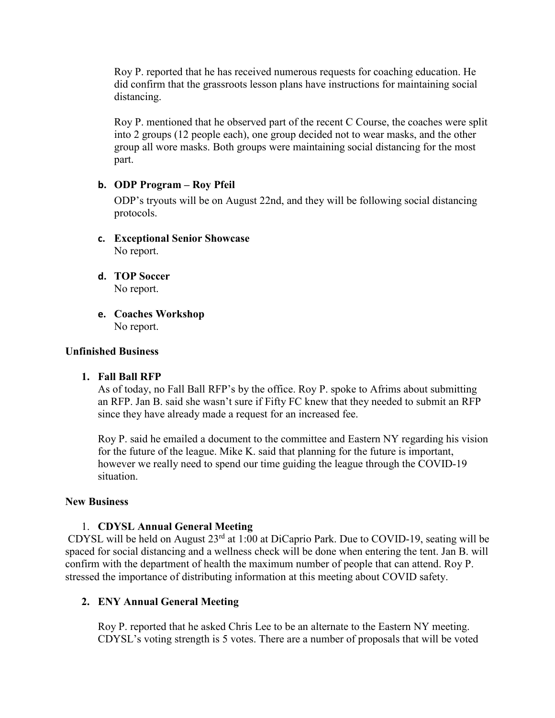Roy P. reported that he has received numerous requests for coaching education. He did confirm that the grassroots lesson plans have instructions for maintaining social distancing.

Roy P. mentioned that he observed part of the recent C Course, the coaches were split into 2 groups (12 people each), one group decided not to wear masks, and the other group all wore masks. Both groups were maintaining social distancing for the most part.

#### **b. ODP Program – Roy Pfeil**

ODP's tryouts will be on August 22nd, and they will be following social distancing protocols.

- **c. Exceptional Senior Showcase** No report.
- **d. TOP Soccer** No report.
- **e. Coaches Workshop** No report.

### **Unfinished Business**

#### **1. Fall Ball RFP**

As of today, no Fall Ball RFP's by the office. Roy P. spoke to Afrims about submitting an RFP. Jan B. said she wasn't sure if Fifty FC knew that they needed to submit an RFP since they have already made a request for an increased fee.

Roy P. said he emailed a document to the committee and Eastern NY regarding his vision for the future of the league. Mike K. said that planning for the future is important, however we really need to spend our time guiding the league through the COVID-19 situation.

#### **New Business**

## 1. **CDYSL Annual General Meeting**

CDYSL will be held on August 23rd at 1:00 at DiCaprio Park. Due to COVID-19, seating will be spaced for social distancing and a wellness check will be done when entering the tent. Jan B. will confirm with the department of health the maximum number of people that can attend. Roy P. stressed the importance of distributing information at this meeting about COVID safety.

## **2. ENY Annual General Meeting**

Roy P. reported that he asked Chris Lee to be an alternate to the Eastern NY meeting. CDYSL's voting strength is 5 votes. There are a number of proposals that will be voted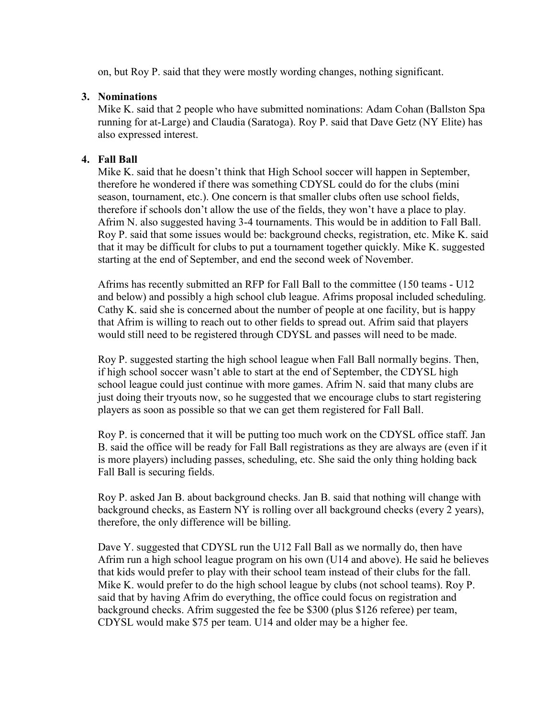on, but Roy P. said that they were mostly wording changes, nothing significant.

### **3. Nominations**

Mike K. said that 2 people who have submitted nominations: Adam Cohan (Ballston Spa running for at-Large) and Claudia (Saratoga). Roy P. said that Dave Getz (NY Elite) has also expressed interest.

## **4. Fall Ball**

Mike K. said that he doesn't think that High School soccer will happen in September, therefore he wondered if there was something CDYSL could do for the clubs (mini season, tournament, etc.). One concern is that smaller clubs often use school fields, therefore if schools don't allow the use of the fields, they won't have a place to play. Afrim N. also suggested having 3-4 tournaments. This would be in addition to Fall Ball. Roy P. said that some issues would be: background checks, registration, etc. Mike K. said that it may be difficult for clubs to put a tournament together quickly. Mike K. suggested starting at the end of September, and end the second week of November.

Afrims has recently submitted an RFP for Fall Ball to the committee (150 teams - U12 and below) and possibly a high school club league. Afrims proposal included scheduling. Cathy K. said she is concerned about the number of people at one facility, but is happy that Afrim is willing to reach out to other fields to spread out. Afrim said that players would still need to be registered through CDYSL and passes will need to be made.

Roy P. suggested starting the high school league when Fall Ball normally begins. Then, if high school soccer wasn't able to start at the end of September, the CDYSL high school league could just continue with more games. Afrim N. said that many clubs are just doing their tryouts now, so he suggested that we encourage clubs to start registering players as soon as possible so that we can get them registered for Fall Ball.

Roy P. is concerned that it will be putting too much work on the CDYSL office staff. Jan B. said the office will be ready for Fall Ball registrations as they are always are (even if it is more players) including passes, scheduling, etc. She said the only thing holding back Fall Ball is securing fields.

Roy P. asked Jan B. about background checks. Jan B. said that nothing will change with background checks, as Eastern NY is rolling over all background checks (every 2 years), therefore, the only difference will be billing.

Dave Y. suggested that CDYSL run the U12 Fall Ball as we normally do, then have Afrim run a high school league program on his own (U14 and above). He said he believes that kids would prefer to play with their school team instead of their clubs for the fall. Mike K. would prefer to do the high school league by clubs (not school teams). Roy P. said that by having Afrim do everything, the office could focus on registration and background checks. Afrim suggested the fee be \$300 (plus \$126 referee) per team, CDYSL would make \$75 per team. U14 and older may be a higher fee.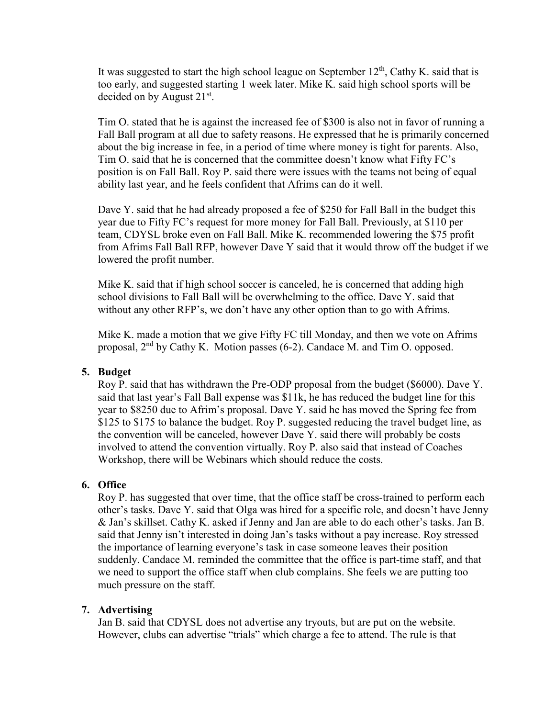It was suggested to start the high school league on September  $12<sup>th</sup>$ , Cathy K. said that is too early, and suggested starting 1 week later. Mike K. said high school sports will be decided on by August  $21<sup>st</sup>$ .

Tim O. stated that he is against the increased fee of \$300 is also not in favor of running a Fall Ball program at all due to safety reasons. He expressed that he is primarily concerned about the big increase in fee, in a period of time where money is tight for parents. Also, Tim O. said that he is concerned that the committee doesn't know what Fifty FC's position is on Fall Ball. Roy P. said there were issues with the teams not being of equal ability last year, and he feels confident that Afrims can do it well.

Dave Y. said that he had already proposed a fee of \$250 for Fall Ball in the budget this year due to Fifty FC's request for more money for Fall Ball. Previously, at \$110 per team, CDYSL broke even on Fall Ball. Mike K. recommended lowering the \$75 profit from Afrims Fall Ball RFP, however Dave Y said that it would throw off the budget if we lowered the profit number.

Mike K. said that if high school soccer is canceled, he is concerned that adding high school divisions to Fall Ball will be overwhelming to the office. Dave Y. said that without any other RFP's, we don't have any other option than to go with Afrims.

Mike K. made a motion that we give Fifty FC till Monday, and then we vote on Afrims proposal, 2nd by Cathy K. Motion passes (6-2). Candace M. and Tim O. opposed.

## **5. Budget**

Roy P. said that has withdrawn the Pre-ODP proposal from the budget (\$6000). Dave Y. said that last year's Fall Ball expense was \$11k, he has reduced the budget line for this year to \$8250 due to Afrim's proposal. Dave Y. said he has moved the Spring fee from \$125 to \$175 to balance the budget. Roy P. suggested reducing the travel budget line, as the convention will be canceled, however Dave Y. said there will probably be costs involved to attend the convention virtually. Roy P. also said that instead of Coaches Workshop, there will be Webinars which should reduce the costs.

## **6. Office**

Roy P. has suggested that over time, that the office staff be cross-trained to perform each other's tasks. Dave Y. said that Olga was hired for a specific role, and doesn't have Jenny & Jan's skillset. Cathy K. asked if Jenny and Jan are able to do each other's tasks. Jan B. said that Jenny isn't interested in doing Jan's tasks without a pay increase. Roy stressed the importance of learning everyone's task in case someone leaves their position suddenly. Candace M. reminded the committee that the office is part-time staff, and that we need to support the office staff when club complains. She feels we are putting too much pressure on the staff.

#### **7. Advertising**

Jan B. said that CDYSL does not advertise any tryouts, but are put on the website. However, clubs can advertise "trials" which charge a fee to attend. The rule is that